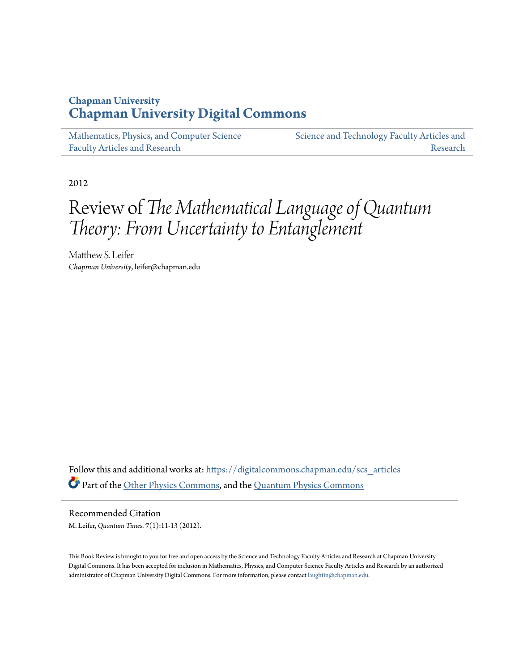# **Chapman University [Chapman University Digital Commons](https://digitalcommons.chapman.edu?utm_source=digitalcommons.chapman.edu%2Fscs_articles%2F562&utm_medium=PDF&utm_campaign=PDFCoverPages)**

[Mathematics, Physics, and Computer Science](https://digitalcommons.chapman.edu/scs_articles?utm_source=digitalcommons.chapman.edu%2Fscs_articles%2F562&utm_medium=PDF&utm_campaign=PDFCoverPages) [Faculty Articles and Research](https://digitalcommons.chapman.edu/scs_articles?utm_source=digitalcommons.chapman.edu%2Fscs_articles%2F562&utm_medium=PDF&utm_campaign=PDFCoverPages)

[Science and Technology Faculty Articles and](https://digitalcommons.chapman.edu/science_articles?utm_source=digitalcommons.chapman.edu%2Fscs_articles%2F562&utm_medium=PDF&utm_campaign=PDFCoverPages) [Research](https://digitalcommons.chapman.edu/science_articles?utm_source=digitalcommons.chapman.edu%2Fscs_articles%2F562&utm_medium=PDF&utm_campaign=PDFCoverPages)

2012

# Review of *The Mathematical Language of Quantum Theory: From Uncertainty to Entanglement*

Matthew S. Leifer *Chapman University*, leifer@chapman.edu

Follow this and additional works at: [https://digitalcommons.chapman.edu/scs\\_articles](https://digitalcommons.chapman.edu/scs_articles?utm_source=digitalcommons.chapman.edu%2Fscs_articles%2F562&utm_medium=PDF&utm_campaign=PDFCoverPages) Part of the [Other Physics Commons,](http://network.bepress.com/hgg/discipline/207?utm_source=digitalcommons.chapman.edu%2Fscs_articles%2F562&utm_medium=PDF&utm_campaign=PDFCoverPages) and the [Quantum Physics Commons](http://network.bepress.com/hgg/discipline/206?utm_source=digitalcommons.chapman.edu%2Fscs_articles%2F562&utm_medium=PDF&utm_campaign=PDFCoverPages)

Recommended Citation M. Leifer, *Quantum Times*. **7**(1):11-13 (2012).

This Book Review is brought to you for free and open access by the Science and Technology Faculty Articles and Research at Chapman University Digital Commons. It has been accepted for inclusion in Mathematics, Physics, and Computer Science Faculty Articles and Research by an authorized administrator of Chapman University Digital Commons. For more information, please contact [laughtin@chapman.edu.](mailto:laughtin@chapman.edu)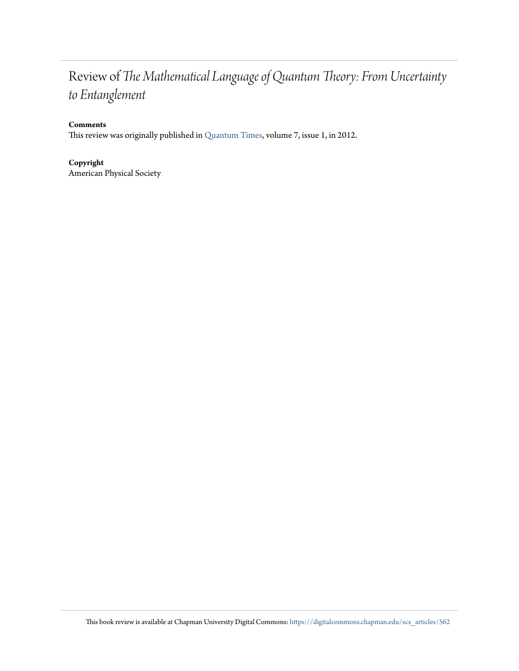# Review of *The Mathematical Language of Quantum Theory: From Uncertainty to Entanglement*

### **Comments**

This review was originally published in [Quantum Times,](http://www.aps.org/units/dqi/newsletters/index.cfm) volume 7, issue 1, in 2012.

### **Copyright** American Physical Society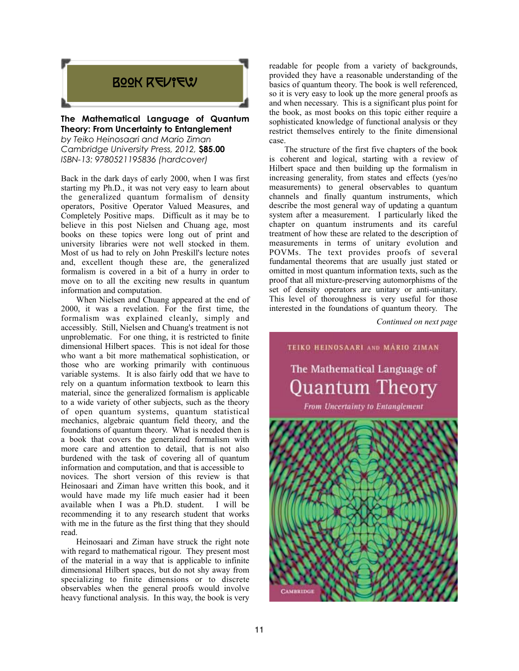# BOOK REVIEW

### **The Mathematical Language of Quantum Theory: From Uncertainty to Entanglement**

*by Teiko Heinosaari and Mario Ziman Cambridge University Press, 2012,* **\$85.00** *ISBN-13: 9780521195836 (hardcover)*

Back in the dark days of early 2000, when I was first starting my Ph.D., it was not very easy to learn about the generalized quantum formalism of density operators, Positive Operator Valued Measures, and Completely Positive maps. Difficult as it may be to believe in this post Nielsen and Chuang age, most books on these topics were long out of print and university libraries were not well stocked in them. Most of us had to rely on John Preskill's lecture notes and, excellent though these are, the generalized formalism is covered in a bit of a hurry in order to move on to all the exciting new results in quantum information and computation.

When Nielsen and Chuang appeared at the end of 2000, it was a revelation. For the first time, the formalism was explained cleanly, simply and accessibly. Still, Nielsen and Chuang's treatment is not unproblematic. For one thing, it is restricted to finite dimensional Hilbert spaces. This is not ideal for those who want a bit more mathematical sophistication, or those who are working primarily with continuous variable systems. It is also fairly odd that we have to rely on a quantum information textbook to learn this material, since the generalized formalism is applicable to a wide variety of other subjects, such as the theory of open quantum systems, quantum statistical mechanics, algebraic quantum field theory, and the foundations of quantum theory. What is needed then is a book that covers the generalized formalism with more care and attention to detail, that is not also burdened with the task of covering all of quantum information and computation, and that is accessible to novices. The short version of this review is that Heinosaari and Ziman have written this book, and it would have made my life much easier had it been available when I was a Ph.D. student. I will be recommending it to any research student that works with me in the future as the first thing that they should read.

Heinosaari and Ziman have struck the right note with regard to mathematical rigour. They present most of the material in a way that is applicable to infinite dimensional Hilbert spaces, but do not shy away from specializing to finite dimensions or to discrete observables when the general proofs would involve heavy functional analysis. In this way, the book is very readable for people from a variety of backgrounds, provided they have a reasonable understanding of the basics of quantum theory. The book is well referenced, so it is very easy to look up the more general proofs as and when necessary. This is a significant plus point for the book, as most books on this topic either require a sophisticated knowledge of functional analysis or they restrict themselves entirely to the finite dimensional case.

The structure of the first five chapters of the book is coherent and logical, starting with a review of Hilbert space and then building up the formalism in increasing generality, from states and effects (yes/no measurements) to general observables to quantum channels and finally quantum instruments, which describe the most general way of updating a quantum system after a measurement. I particularly liked the chapter on quantum instruments and its careful treatment of how these are related to the description of measurements in terms of unitary evolution and POVMs. The text provides proofs of several fundamental theorems that are usually just stated or omitted in most quantum information texts, such as the proof that all mixture-preserving automorphisms of the set of density operators are unitary or anti-unitary. This level of thoroughness is very useful for those interested in the foundations of quantum theory. The

*Continued on next page*

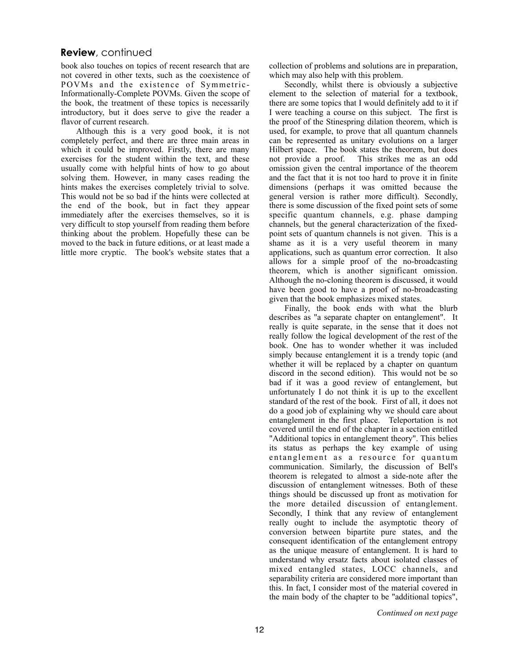# **Review**, continued

book also touches on topics of recent research that are not covered in other texts, such as the coexistence of POVMs and the existence of Symmetric-Informationally-Complete POVMs. Given the scope of the book, the treatment of these topics is necessarily introductory, but it does serve to give the reader a flavor of current research.

Although this is a very good book, it is not completely perfect, and there are three main areas in which it could be improved. Firstly, there are many exercises for the student within the text, and these usually come with helpful hints of how to go about solving them. However, in many cases reading the hints makes the exercises completely trivial to solve. This would not be so bad if the hints were collected at the end of the book, but in fact they appear immediately after the exercises themselves, so it is very difficult to stop yourself from reading them before thinking about the problem. Hopefully these can be moved to the back in future editions, or at least made a little more cryptic. The book's website states that a collection of problems and solutions are in preparation, which may also help with this problem.

Secondly, whilst there is obviously a subjective element to the selection of material for a textbook, there are some topics that I would definitely add to it if I were teaching a course on this subject. The first is the proof of the Stinespring dilation theorem, which is used, for example, to prove that all quantum channels can be represented as unitary evolutions on a larger Hilbert space. The book states the theorem, but does not provide a proof. This strikes me as an odd omission given the central importance of the theorem and the fact that it is not too hard to prove it in finite dimensions (perhaps it was omitted because the general version is rather more difficult). Secondly, there is some discussion of the fixed point sets of some specific quantum channels, e.g. phase damping channels, but the general characterization of the fixedpoint sets of quantum channels is not given. This is a shame as it is a very useful theorem in many applications, such as quantum error correction. It also allows for a simple proof of the no-broadcasting theorem, which is another significant omission. Although the no-cloning theorem is discussed, it would have been good to have a proof of no-broadcasting given that the book emphasizes mixed states.

Finally, the book ends with what the blurb describes as "a separate chapter on entanglement". It really is quite separate, in the sense that it does not really follow the logical development of the rest of the book. One has to wonder whether it was included simply because entanglement it is a trendy topic (and whether it will be replaced by a chapter on quantum discord in the second edition). This would not be so bad if it was a good review of entanglement, but unfortunately I do not think it is up to the excellent standard of the rest of the book. First of all, it does not do a good job of explaining why we should care about entanglement in the first place. Teleportation is not covered until the end of the chapter in a section entitled "Additional topics in entanglement theory". This belies its status as perhaps the key example of using entanglement as a resource for quantum communication. Similarly, the discussion of Bell's theorem is relegated to almost a side-note after the discussion of entanglement witnesses. Both of these things should be discussed up front as motivation for the more detailed discussion of entanglement. Secondly, I think that any review of entanglement really ought to include the asymptotic theory of conversion between bipartite pure states, and the consequent identification of the entanglement entropy as the unique measure of entanglement. It is hard to understand why ersatz facts about isolated classes of mixed entangled states, LOCC channels, and separability criteria are considered more important than this. In fact, I consider most of the material covered in the main body of the chapter to be "additional topics",

*Continued on next page*